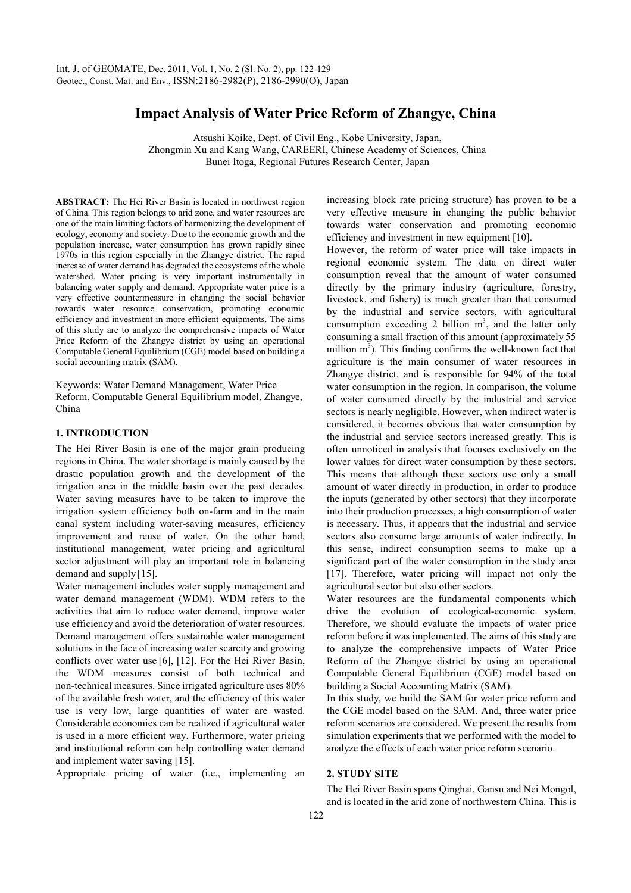# **Impact Analysis of Water Price Reform of Zhangye, China**

Atsushi Koike, Dept. of Civil Eng., Kobe University, Japan, Zhongmin Xu and Kang Wang, CAREERI, Chinese Academy of Sciences, China Bunei Itoga, Regional Futures Research Center, Japan

**ABSTRACT:** The Hei River Basin is located in northwest region of China. This region belongs to arid zone, and water resources are one of the main limiting factors of harmonizing the development of ecology, economy and society. Due to the economic growth and the population increase, water consumption has grown rapidly since 1970s in this region especially in the Zhangye district. The rapid increase of water demand has degraded the ecosystems of the whole watershed. Water pricing is very important instrumentally in balancing water supply and demand. Appropriate water price is a very effective countermeasure in changing the social behavior towards water resource conservation, promoting economic efficiency and investment in more efficient equipments. The aims of this study are to analyze the comprehensive impacts of Water Price Reform of the Zhangye district by using an operational Computable General Equilibrium (CGE) model based on building a social accounting matrix (SAM).

Keywords: Water Demand Management, Water Price Reform, Computable General Equilibrium model, Zhangye, China

# **1. INTRODUCTION**

The Hei River Basin is one of the major grain producing regions in China. The water shortage is mainly caused by the drastic population growth and the development of the irrigation area in the middle basin over the past decades. Water saving measures have to be taken to improve the irrigation system efficiency both on-farm and in the main canal system including water-saving measures, efficiency improvement and reuse of water. On the other hand, institutional management, water pricing and agricultural sector adjustment will play an important role in balancing demand and supply [15].

Water management includes water supply management and water demand management (WDM). WDM refers to the activities that aim to reduce water demand, improve water use efficiency and avoid the deterioration of water resources. Demand management offers sustainable water management solutions in the face of increasing water scarcity and growing conflicts over water use [6], [12]. For the Hei River Basin, the WDM measures consist of both technical and non-technical measures. Since irrigated agriculture uses 80% of the available fresh water, and the efficiency of this water use is very low, large quantities of water are wasted. Considerable economies can be realized if agricultural water is used in a more efficient way. Furthermore, water pricing and institutional reform can help controlling water demand and implement water saving [15].

Appropriate pricing of water (i.e., implementing an

increasing block rate pricing structure) has proven to be a very effective measure in changing the public behavior towards water conservation and promoting economic efficiency and investment in new equipment [10].

However, the reform of water price will take impacts in regional economic system. The data on direct water consumption reveal that the amount of water consumed directly by the primary industry (agriculture, forestry, livestock, and fishery) is much greater than that consumed by the industrial and service sectors, with agricultural consumption exceeding 2 billion  $m<sup>3</sup>$ , and the latter only consuming a small fraction of this amount (approximately 55 million  $m<sup>3</sup>$ ). This finding confirms the well-known fact that agriculture is the main consumer of water resources in Zhangye district, and is responsible for 94% of the total water consumption in the region. In comparison, the volume of water consumed directly by the industrial and service sectors is nearly negligible. However, when indirect water is considered, it becomes obvious that water consumption by the industrial and service sectors increased greatly. This is often unnoticed in analysis that focuses exclusively on the lower values for direct water consumption by these sectors. This means that although these sectors use only a small amount of water directly in production, in order to produce the inputs (generated by other sectors) that they incorporate into their production processes, a high consumption of water is necessary. Thus, it appears that the industrial and service sectors also consume large amounts of water indirectly. In this sense, indirect consumption seems to make up a significant part of the water consumption in the study area [17]. Therefore, water pricing will impact not only the agricultural sector but also other sectors.

Water resources are the fundamental components which drive the evolution of ecological-economic system. Therefore, we should evaluate the impacts of water price reform before it was implemented. The aims of this study are to analyze the comprehensive impacts of Water Price Reform of the Zhangye district by using an operational Computable General Equilibrium (CGE) model based on building a Social Accounting Matrix (SAM).

In this study, we build the SAM for water price reform and the CGE model based on the SAM. And, three water price reform scenarios are considered. We present the results from simulation experiments that we performed with the model to analyze the effects of each water price reform scenario.

### **2. STUDY SITE**

The Hei River Basin spans Qinghai, Gansu and Nei Mongol, and is located in the arid zone of northwestern China. This is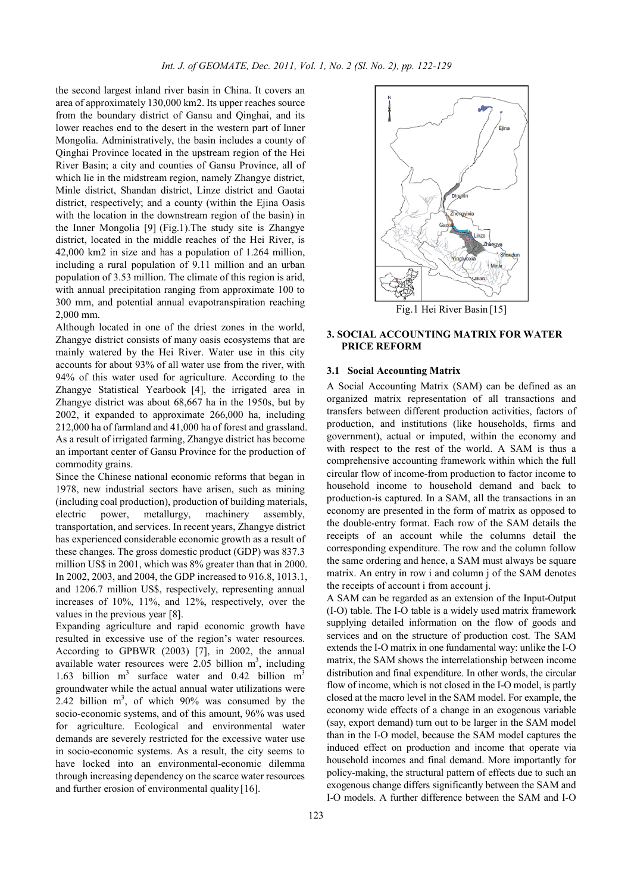the second largest inland river basin in China. It covers an area of approximately 130,000 km2. Its upper reaches source from the boundary district of Gansu and Qinghai, and its lower reaches end to the desert in the western part of Inner Mongolia. Administratively, the basin includes a county of Qinghai Province located in the upstream region of the Hei River Basin; a city and counties of Gansu Province, all of which lie in the midstream region, namely Zhangye district, Minle district, Shandan district, Linze district and Gaotai district, respectively; and a county (within the Ejina Oasis with the location in the downstream region of the basin) in the Inner Mongolia [9] (Fig.1).The study site is Zhangye district, located in the middle reaches of the Hei River, is 42,000 km2 in size and has a population of 1.264 million, including a rural population of 9.11 million and an urban population of 3.53 million. The climate of this region is arid, with annual precipitation ranging from approximate 100 to 300 mm, and potential annual evapotranspiration reaching 2,000 mm.

Although located in one of the driest zones in the world, Zhangye district consists of many oasis ecosystems that are mainly watered by the Hei River. Water use in this city accounts for about 93% of all water use from the river, with 94% of this water used for agriculture. According to the Zhangye Statistical Yearbook [4], the irrigated area in Zhangye district was about 68,667 ha in the 1950s, but by 2002, it expanded to approximate 266,000 ha, including 212,000 ha of farmland and 41,000 ha of forest and grassland. As a result of irrigated farming, Zhangye district has become an important center of Gansu Province for the production of commodity grains.

Since the Chinese national economic reforms that began in 1978, new industrial sectors have arisen, such as mining (including coal production), production of building materials, electric power, metallurgy, machinery assembly, transportation, and services. In recent years, Zhangye district has experienced considerable economic growth as a result of these changes. The gross domestic product (GDP) was 837.3 million US\$ in 2001, which was 8% greater than that in 2000. In 2002, 2003, and 2004, the GDP increased to 916.8, 1013.1, and 1206.7 million US\$, respectively, representing annual increases of 10%, 11%, and 12%, respectively, over the values in the previous year [8].

Expanding agriculture and rapid economic growth have resulted in excessive use of the region's water resources. According to GPBWR (2003) [7], in 2002, the annual available water resources were 2.05 billion  $m<sup>3</sup>$ , including 1.63 billion  $m<sup>3</sup>$  surface water and 0.42 billion  $m<sup>3</sup>$ groundwater while the actual annual water utilizations were 2.42 billion  $m<sup>3</sup>$ , of which 90% was consumed by the socio-economic systems, and of this amount, 96% was used for agriculture. Ecological and environmental water demands are severely restricted for the excessive water use in socio-economic systems. As a result, the city seems to have locked into an environmental-economic dilemma through increasing dependency on the scarce water resources and further erosion of environmental quality [16].



**3. SOCIAL ACCOUNTING MATRIX FOR WATER PRICE REFORM** 

### **3.1 Social Accounting Matrix**

A Social Accounting Matrix (SAM) can be defined as an organized matrix representation of all transactions and transfers between different production activities, factors of production, and institutions (like households, firms and government), actual or imputed, within the economy and with respect to the rest of the world. A SAM is thus a comprehensive accounting framework within which the full circular flow of income-from production to factor income to household income to household demand and back to production-is captured. In a SAM, all the transactions in an economy are presented in the form of matrix as opposed to the double-entry format. Each row of the SAM details the receipts of an account while the columns detail the corresponding expenditure. The row and the column follow the same ordering and hence, a SAM must always be square matrix. An entry in row i and column j of the SAM denotes the receipts of account i from account j.

A SAM can be regarded as an extension of the Input-Output (I-O) table. The I-O table is a widely used matrix framework supplying detailed information on the flow of goods and services and on the structure of production cost. The SAM extends the I-O matrix in one fundamental way: unlike the I-O matrix, the SAM shows the interrelationship between income distribution and final expenditure. In other words, the circular flow of income, which is not closed in the I-O model, is partly closed at the macro level in the SAM model. For example, the economy wide effects of a change in an exogenous variable (say, export demand) turn out to be larger in the SAM model than in the I-O model, because the SAM model captures the induced effect on production and income that operate via household incomes and final demand. More importantly for policy-making, the structural pattern of effects due to such an exogenous change differs significantly between the SAM and I-O models. A further difference between the SAM and I-O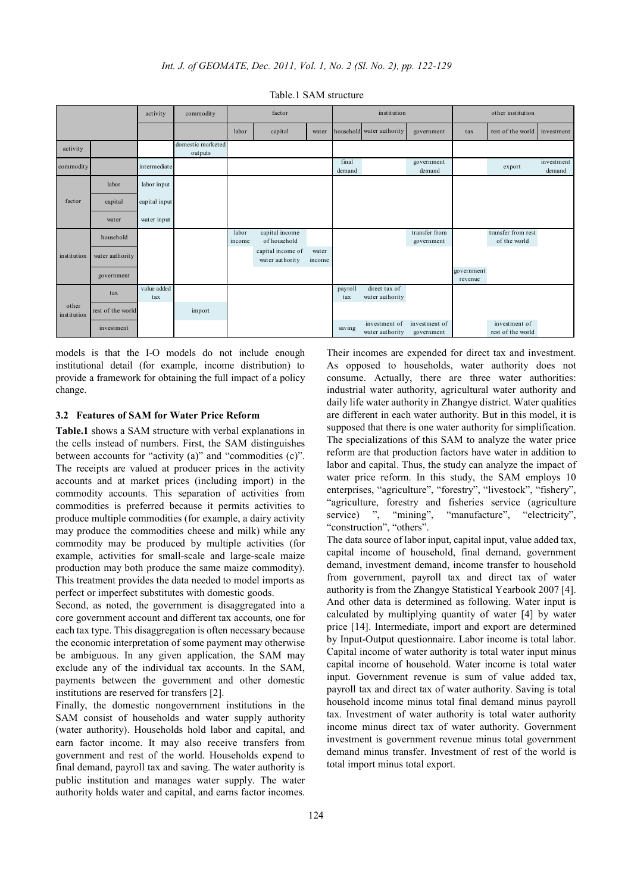|                      |                   | activity           | commodity                    | factor          |                                      | institution     |                 |                                  | other institution           |                       |                                    |                      |
|----------------------|-------------------|--------------------|------------------------------|-----------------|--------------------------------------|-----------------|-----------------|----------------------------------|-----------------------------|-----------------------|------------------------------------|----------------------|
|                      |                   |                    |                              | labor           | capital                              | water           |                 | household water authority        | government                  | tax                   | rest of the world                  | investment           |
| activity             |                   |                    | domestic marketed<br>outputs |                 |                                      |                 |                 |                                  |                             |                       |                                    |                      |
| commodity            |                   | intermediate       |                              |                 |                                      |                 | final<br>demand |                                  | government<br>demand        |                       | export                             | investment<br>demand |
| factor               | labor             | labor input        |                              |                 |                                      |                 |                 |                                  |                             |                       |                                    |                      |
|                      | capital           | capital input      |                              |                 |                                      |                 |                 |                                  |                             |                       |                                    |                      |
|                      | water             | water input        |                              |                 |                                      |                 |                 |                                  |                             |                       |                                    |                      |
| institution          | household         |                    |                              | labor<br>income | capital income<br>of household       |                 |                 |                                  | transfer from<br>government |                       | transfer from rest<br>of the world |                      |
|                      | water authority   |                    |                              |                 | capital income of<br>water authority | water<br>income |                 |                                  |                             |                       |                                    |                      |
|                      | government        |                    |                              |                 |                                      |                 |                 |                                  |                             | government<br>revenue |                                    |                      |
| other<br>institution | tax               | value added<br>tax |                              |                 |                                      |                 | payroll<br>tax  | direct tax of<br>water authority |                             |                       |                                    |                      |
|                      | rest of the world |                    | import                       |                 |                                      |                 |                 |                                  |                             |                       |                                    |                      |
|                      | investment        |                    |                              |                 |                                      |                 | saving          | investment of<br>water authority | investment of<br>government |                       | investment of<br>rest of the world |                      |

Table.1 SAM structure

models is that the I-O models do not include enough institutional detail (for example, income distribution) to provide a framework for obtaining the full impact of a policy change.

### **3.2 Features of SAM for Water Price Reform**

**Table.1** shows a SAM structure with verbal explanations in the cells instead of numbers. First, the SAM distinguishes between accounts for "activity (a)" and "commodities (c)". The receipts are valued at producer prices in the activity accounts and at market prices (including import) in the commodity accounts. This separation of activities from commodities is preferred because it permits activities to produce multiple commodities (for example, a dairy activity may produce the commodities cheese and milk) while any commodity may be produced by multiple activities (for example, activities for small-scale and large-scale maize production may both produce the same maize commodity). This treatment provides the data needed to model imports as perfect or imperfect substitutes with domestic goods.

Second, as noted, the government is disaggregated into a core government account and different tax accounts, one for each tax type. This disaggregation is often necessary because the economic interpretation of some payment may otherwise be ambiguous. In any given application, the SAM may exclude any of the individual tax accounts. In the SAM, payments between the government and other domestic institutions are reserved for transfers [2].

Finally, the domestic nongovernment institutions in the SAM consist of households and water supply authority (water authority). Households hold labor and capital, and earn factor income. It may also receive transfers from government and rest of the world. Households expend to final demand, payroll tax and saving. The water authority is public institution and manages water supply. The water authority holds water and capital, and earns factor incomes.

Their incomes are expended for direct tax and investment. As opposed to households, water authority does not consume. Actually, there are three water authorities: industrial water authority, agricultural water authority and daily life water authority in Zhangye district. Water qualities are different in each water authority. But in this model, it is supposed that there is one water authority for simplification. The specializations of this SAM to analyze the water price reform are that production factors have water in addition to labor and capital. Thus, the study can analyze the impact of water price reform. In this study, the SAM employs 10 enterprises, "agriculture", "forestry", "livestock", "fishery", "agriculture, forestry and fisheries service (agriculture service) ", "mining", "manufacture", "electricity", "construction", "others".

The data source of labor input, capital input, value added tax, capital income of household, final demand, government demand, investment demand, income transfer to household from government, payroll tax and direct tax of water authority is from the Zhangye Statistical Yearbook 2007 [4]. And other data is determined as following. Water input is calculated by multiplying quantity of water [4] by water price [14]. Intermediate, import and export are determined by Input-Output questionnaire. Labor income is total labor. Capital income of water authority is total water input minus capital income of household. Water income is total water input. Government revenue is sum of value added tax, payroll tax and direct tax of water authority. Saving is total household income minus total final demand minus payroll tax. Investment of water authority is total water authority income minus direct tax of water authority. Government investment is government revenue minus total government demand minus transfer. Investment of rest of the world is total import minus total export.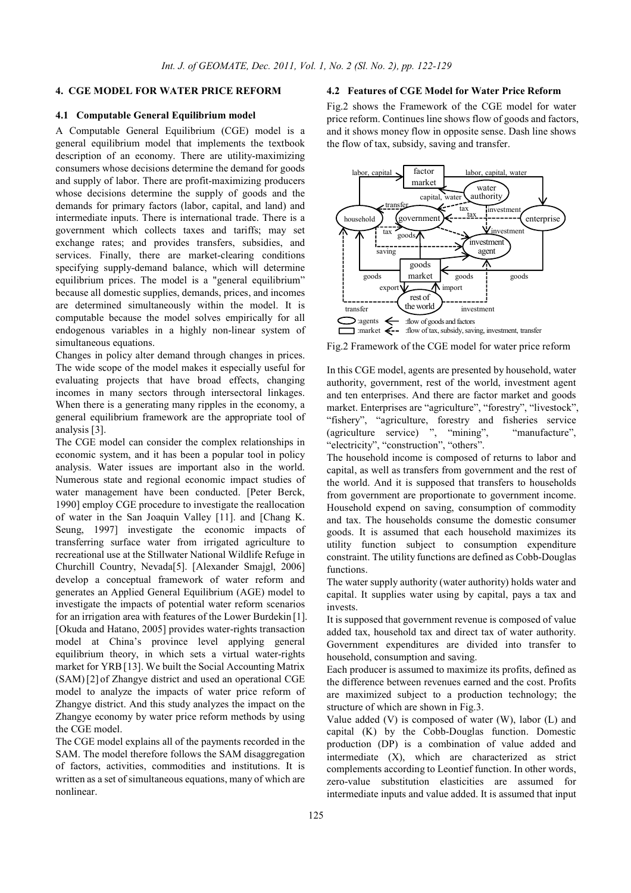# **4. CGE MODEL FOR WATER PRICE REFORM**

### **4.1 Computable General Equilibrium model**

A Computable General Equilibrium (CGE) model is a general equilibrium model that implements the textbook description of an economy. There are utility-maximizing consumers whose decisions determine the demand for goods and supply of labor. There are profit-maximizing producers whose decisions determine the supply of goods and the demands for primary factors (labor, capital, and land) and intermediate inputs. There is international trade. There is a government which collects taxes and tariffs; may set exchange rates; and provides transfers, subsidies, and services. Finally, there are market-clearing conditions specifying supply-demand balance, which will determine equilibrium prices. The model is a "general equilibrium" because all domestic supplies, demands, prices, and incomes are determined simultaneously within the model. It is computable because the model solves empirically for all endogenous variables in a highly non-linear system of simultaneous equations.

Changes in policy alter demand through changes in prices. The wide scope of the model makes it especially useful for evaluating projects that have broad effects, changing incomes in many sectors through intersectoral linkages. When there is a generating many ripples in the economy, a general equilibrium framework are the appropriate tool of analysis [3].

The CGE model can consider the complex relationships in economic system, and it has been a popular tool in policy analysis. Water issues are important also in the world. Numerous state and regional economic impact studies of water management have been conducted. [Peter Berck, 1990] employ CGE procedure to investigate the reallocation of water in the San Joaquin Valley [11]. and [Chang K. Seung, 1997] investigate the economic impacts of transferring surface water from irrigated agriculture to recreational use at the Stillwater National Wildlife Refuge in Churchill Country, Nevada[5]. [Alexander Smajgl, 2006] develop a conceptual framework of water reform and generates an Applied General Equilibrium (AGE) model to investigate the impacts of potential water reform scenarios for an irrigation area with features of the Lower Burdekin [1]. [Okuda and Hatano, 2005] provides water-rights transaction model at China's province level applying general equilibrium theory, in which sets a virtual water-rights market for YRB[13]. We built the Social Accounting Matrix (SAM)[2] of Zhangye district and used an operational CGE model to analyze the impacts of water price reform of Zhangye district. And this study analyzes the impact on the Zhangye economy by water price reform methods by using the CGE model.

The CGE model explains all of the payments recorded in the SAM. The model therefore follows the SAM disaggregation of factors, activities, commodities and institutions. It is written as a set of simultaneous equations, many of which are nonlinear.

### **4.2 Features of CGE Model for Water Price Reform**

Fig.2 shows the Framework of the CGE model for water price reform. Continues line shows flow of goods and factors, and it shows money flow in opposite sense. Dash line shows the flow of tax, subsidy, saving and transfer.



Fig.2 Framework of the CGE model for water price reform

In this CGE model, agents are presented by household, water authority, government, rest of the world, investment agent and ten enterprises. And there are factor market and goods market. Enterprises are "agriculture", "forestry", "livestock", "fishery", "agriculture, forestry and fisheries service (agriculture service) ", "mining", "manufacture", "electricity", "construction", "others".

The household income is composed of returns to labor and capital, as well as transfers from government and the rest of the world. And it is supposed that transfers to households from government are proportionate to government income. Household expend on saving, consumption of commodity and tax. The households consume the domestic consumer goods. It is assumed that each household maximizes its utility function subject to consumption expenditure constraint. The utility functions are defined as Cobb-Douglas functions.

The water supply authority (water authority) holds water and capital. It supplies water using by capital, pays a tax and invests.

It is supposed that government revenue is composed of value added tax, household tax and direct tax of water authority. Government expenditures are divided into transfer to household, consumption and saving.

Each producer is assumed to maximize its profits, defined as the difference between revenues earned and the cost. Profits are maximized subject to a production technology; the structure of which are shown in Fig.3.

Value added  $(V)$  is composed of water  $(W)$ , labor  $(L)$  and capital (K) by the Cobb-Douglas function. Domestic production (DP) is a combination of value added and intermediate (X), which are characterized as strict complements according to Leontief function. In other words, zero-value substitution elasticities are assumed for intermediate inputs and value added. It is assumed that input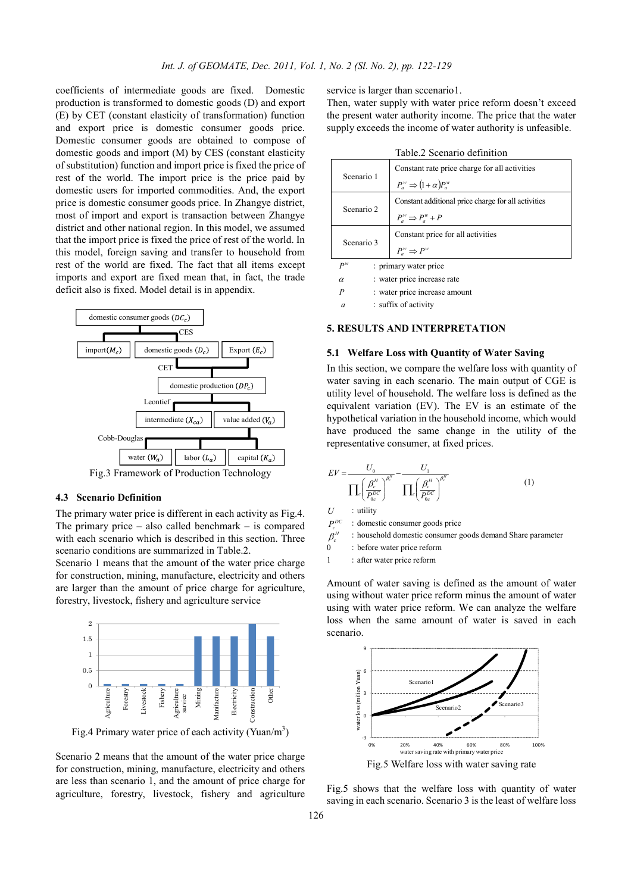coefficients of intermediate goods are fixed. Domestic production is transformed to domestic goods (D) and export (E) by CET (constant elasticity of transformation) function and export price is domestic consumer goods price. Domestic consumer goods are obtained to compose of domestic goods and import (M) by CES (constant elasticity of substitution) function and import price is fixed the price of rest of the world. The import price is the price paid by domestic users for imported commodities. And, the export price is domestic consumer goods price. In Zhangye district, most of import and export is transaction between Zhangye district and other national region. In this model, we assumed that the import price is fixed the price of rest of the world. In this model, foreign saving and transfer to household from rest of the world are fixed. The fact that all items except imports and export are fixed mean that, in fact, the trade deficit also is fixed. Model detail is in appendix.



#### **4.3 Scenario Definition**

The primary water price is different in each activity as Fig.4. The primary price – also called benchmark – is compared with each scenario which is described in this section. Three scenario conditions are summarized in Table.2.

Scenario 1 means that the amount of the water price charge for construction, mining, manufacture, electricity and others are larger than the amount of price charge for agriculture, forestry, livestock, fishery and agriculture service



Fig.4 Primary water price of each activity (Yuan/m<sup>3</sup>)

Scenario 2 means that the amount of the water price charge for construction, mining, manufacture, electricity and others are less than scenario 1, and the amount of price charge for agriculture, forestry, livestock, fishery and agriculture service is larger than sccenario1.

Then, water supply with water price reform doesn't exceed the present water authority income. The price that the water supply exceeds the income of water authority is unfeasible.

 $T<sub>1</sub>$   $T<sub>2</sub>$   $T<sub>3</sub>$   $T<sub>4</sub>$   $T<sub>5</sub>$   $T<sub>6</sub>$ 

| таріе 2 эсепано ценішноп |                                                                                      |  |  |  |  |  |
|--------------------------|--------------------------------------------------------------------------------------|--|--|--|--|--|
| Scenario 1               | Constant rate price charge for all activities<br>$P_a^w \Rightarrow (1+\alpha)P_a^w$ |  |  |  |  |  |
| Scenario 2               | Constant additional price charge for all activities<br>$P_a^w \Rightarrow P_a^w + P$ |  |  |  |  |  |
| Scenario 3               | Constant price for all activities<br>$P^w \Rightarrow P^w$                           |  |  |  |  |  |
| $P^w$<br>α               | : primary water price<br>: water price increase rate                                 |  |  |  |  |  |

*P* : water price increase amount

*a* : suffix of activity

#### **5. RESULTS AND INTERPRETATION**

### **5.1 Welfare Loss with Quantity of Water Saving**

In this section, we compare the welfare loss with quantity of water saving in each scenario. The main output of CGE is utility level of household. The welfare loss is defined as the equivalent variation (EV). The EV is an estimate of the hypothetical variation in the household income, which would have produced the same change in the utility of the representative consumer, at fixed prices.

$$
EV = \frac{U_0}{\prod_{c} \left(\frac{\beta_c^H}{P_{oc}^{DC}}\right)^{\beta_c^H}} - \frac{U_1}{\prod_{c} \left(\frac{\beta_c^H}{P_{oc}^{DC}}\right)^{\beta_c^H}}
$$
(1)

 $U$  : utility

 $P^{DC}$  : domestic consumer goods price

 $\beta$ <sup>H</sup>  $\beta_c^H$  : household domestic consumer goods demand Share parameter<br>0 : hefore water price reform

: before water price reform

1 : after water price reform

Amount of water saving is defined as the amount of water using without water price reform minus the amount of water using with water price reform. We can analyze the welfare loss when the same amount of water is saved in each scenario.



Fig.5 Welfare loss with water saving rate

Fig.5 shows that the welfare loss with quantity of water saving in each scenario. Scenario 3 is the least of welfare loss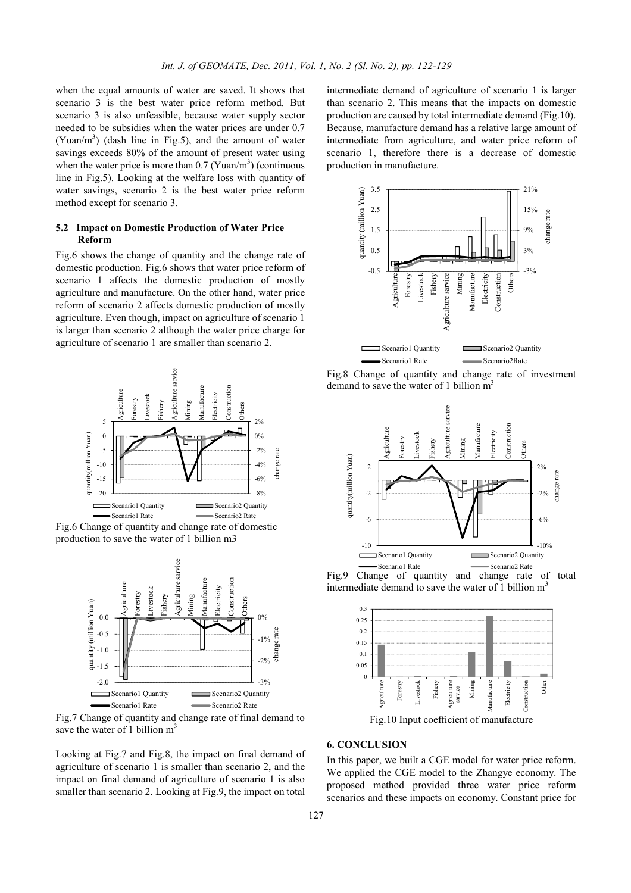when the equal amounts of water are saved. It shows that scenario 3 is the best water price reform method. But scenario 3 is also unfeasible, because water supply sector needed to be subsidies when the water prices are under 0.7 (Yuan/m<sup>3</sup>) (dash line in Fig.5), and the amount of water savings exceeds 80% of the amount of present water using when the water price is more than  $0.7$  (Yuan/m<sup>3</sup>) (continuous line in Fig.5). Looking at the welfare loss with quantity of water savings, scenario 2 is the best water price reform method except for scenario 3.

# **5.2 Impact on Domestic Production of Water Price Reform**

Fig.6 shows the change of quantity and the change rate of domestic production. Fig.6 shows that water price reform of scenario 1 affects the domestic production of mostly agriculture and manufacture. On the other hand, water price reform of scenario 2 affects domestic production of mostly agriculture. Even though, impact on agriculture of scenario 1 is larger than scenario 2 although the water price charge for agriculture of scenario 1 are smaller than scenario 2.



Fig.6 Change of quantity and change rate of domestic production to save the water of 1 billion m3



Fig.7 Change of quantity and change rate of final demand to save the water of 1 billion  $m<sup>3</sup>$ 

Looking at Fig.7 and Fig.8, the impact on final demand of agriculture of scenario 1 is smaller than scenario 2, and the impact on final demand of agriculture of scenario 1 is also smaller than scenario 2. Looking at Fig.9, the impact on total

intermediate demand of agriculture of scenario 1 is larger than scenario 2. This means that the impacts on domestic production are caused by total intermediate demand (Fig.10). Because, manufacture demand has a relative large amount of intermediate from agriculture, and water price reform of scenario 1, therefore there is a decrease of domestic production in manufacture.



Fig.8 Change of quantity and change rate of investment demand to save the water of 1 billion  $m<sup>3</sup>$ 



Fig.9 Change of quantity and change rate of total intermediate demand to save the water of 1 billion m 3



Fig.10 Input coefficient of manufacture

## **6. CONCLUSION**

In this paper, we built a CGE model for water price reform. We applied the CGE model to the Zhangye economy. The proposed method provided three water price reform scenarios and these impacts on economy. Constant price for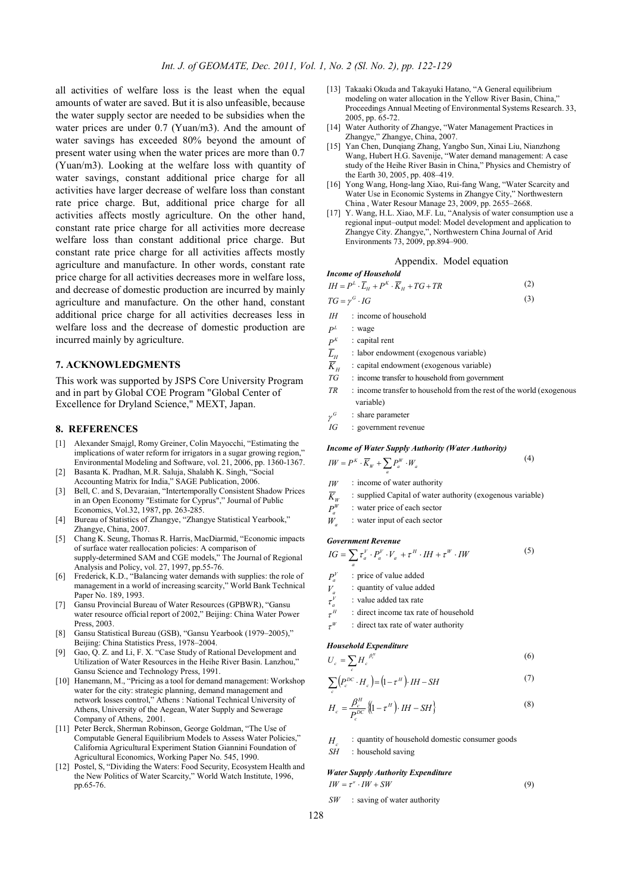all activities of welfare loss is the least when the equal amounts of water are saved. But it is also unfeasible, because the water supply sector are needed to be subsidies when the water prices are under 0.7 (Yuan/m3). And the amount of water savings has exceeded 80% beyond the amount of present water using when the water prices are more than 0.7 (Yuan/m3). Looking at the welfare loss with quantity of water savings, constant additional price charge for all activities have larger decrease of welfare loss than constant rate price charge. But, additional price charge for all activities affects mostly agriculture. On the other hand, constant rate price charge for all activities more decrease welfare loss than constant additional price charge. But constant rate price charge for all activities affects mostly agriculture and manufacture. In other words, constant rate price charge for all activities decreases more in welfare loss, and decrease of domestic production are incurred by mainly agriculture and manufacture. On the other hand, constant additional price charge for all activities decreases less in welfare loss and the decrease of domestic production are incurred mainly by agriculture.

### **7. ACKNOWLEDGMENTS**

This work was supported by JSPS Core University Program and in part by Global COE Program "Global Center of Excellence for Dryland Science," MEXT, Japan.

### **8. REFERENCES**

- [1] Alexander Smajgl, Romy Greiner, Colin Mayocchi, "Estimating the implications of water reform for irrigators in a sugar growing region." Environmental Modeling and Software, vol. 21, 2006, pp. 1360-1367.
- [2] Basanta K. Pradhan, M.R. Saluja, Shalabh K. Singh, "Social Accounting Matrix for India," SAGE Publication, 2006.
- [3] Bell, C. and S, Devaraian, "Intertemporally Consistent Shadow Prices in an Open Economy "Estimate for Cyprus"," Journal of Public Economics, Vol.32, 1987, pp. 263-285.
- [4] Bureau of Statistics of Zhangye, "Zhangye Statistical Yearbook," Zhangye, China, 2007.
- [5] Chang K. Seung, Thomas R. Harris, MacDiarmid, "Economic impacts of surface water reallocation policies: A comparison of supply-determined SAM and CGE models," The Journal of Regional Analysis and Policy, vol. 27, 1997, pp.55-76.
- [6] Frederick, K.D., "Balancing water demands with supplies: the role of management in a world of increasing scarcity," World Bank Technical Paper No. 189, 1993.
- [7] Gansu Provincial Bureau of Water Resources (GPBWR), "Gansu water resource official report of 2002," Beijing: China Water Power Press, 2003.
- [8] Gansu Statistical Bureau (GSB), "Gansu Yearbook (1979–2005)," Beijing: China Statistics Press, 1978–2004.
- [9] Gao, O. Z. and Li, F. X. "Case Study of Rational Development and Utilization of Water Resources in the Heihe River Basin. Lanzhou," Gansu Science and Technology Press, 1991.
- [10] Hanemann, M., "Pricing as a tool for demand management: Workshop water for the city: strategic planning, demand management and network losses control," Athens : National Technical University of Athens, University of the Aegean, Water Supply and Sewerage Company of Athens, 2001.
- [11] Peter Berck, Sherman Robinson, George Goldman, "The Use of Computable General Equilibrium Models to Assess Water Policies," California Agricultural Experiment Station Giannini Foundation of Agricultural Economics, Working Paper No. 545, 1990.
- [12] Postel, S, "Dividing the Waters: Food Security, Ecosystem Health and the New Politics of Water Scarcity," World Watch Institute, 1996, pp.65-76.
- [13] Takaaki Okuda and Takayuki Hatano, "A General equilibrium modeling on water allocation in the Yellow River Basin, China,' Proceedings Annual Meeting of Environmental Systems Research. 33, 2005, pp. 65-72.
- [14] Water Authority of Zhangye, "Water Management Practices in Zhangye," Zhangye, China, 2007.
- [15] Yan Chen, Dunqiang Zhang, Yangbo Sun, Xinai Liu, Nianzhong Wang, Hubert H.G. Savenije, "Water demand management: A case study of the Heihe River Basin in China," Physics and Chemistry of the Earth 30, 2005, pp. 408–419.
- [16] Yong Wang, Hong-lang Xiao, Rui-fang Wang, "Water Scarcity and Water Use in Economic Systems in Zhangye City," Northwestern China , Water Resour Manage 23, 2009, pp. 2655–2668.
- [17] Y. Wang, H.L. Xiao, M.F. Lu, "Analysis of water consumption use a regional input–output model: Model development and application to Zhangye City. Zhangye,", Northwestern China Journal of Arid Environments 73, 2009, pp.894–900.

### Appendix. Model equation

**Income of Household**  
\n
$$
IH = P^{L} \cdot \overline{L}_{H} + P^{K} \cdot \overline{K}_{H} + TG + TR
$$
\n(2)  
\n
$$
TG = \gamma^{G} \cdot IG
$$
\n(3)

 $I$ *H* : income of household

$$
P^L \qquad \ \, \colon \mathbf{wage}
$$

- $P^{K}$  : capital rent
- $\overline{L}_H$  : labor endowment (exogenous variable)
- 
- $\overline{K}_H$  : capital endowment (exogenous variable)<br>  $TG$  : income transfer to household from govern : income transfer to household from government
- *TR* : income transfer to household from the rest of the world (exogenous variable)

(5)

- $\gamma^G$ : share parameter
- *IG* : government revenue

#### *Income of Water Supply Authority (Water Authority)*

$$
IW = P^K \cdot \overline{K}_W + \sum_a P_a^W \cdot W_a \tag{4}
$$

- $IW$  : income of water authority  $\overline{K}_W$  : supplied Capital of water authority (exogenous variable)<br> $P^W$  : water price of each sector
- 
- $P_a^W$  : water price of each sector<br> $W$  : water input of each sector : water input of each sector

#### *Government Revenue*

- $IG = \sum \tau_a^V \cdot P_a^V \cdot V_a + \tau^H \cdot IH + \tau^W \cdot IW$
- *a*  $P^V$  : price of value added
- $V_a$  : quantity of value added
- <sup>τ</sup> :value added tax rate
- *V a*
- $\tau^H$ <sup>τ</sup> :direct income tax rate of household
- *W* <sup>τ</sup> :direct tax rate of water authority

### *Household Expenditure*

$$
U_c = \sum_c H_c^{\ \beta_c^H} \tag{6}
$$

$$
\sum_{c} \left( P_c^{DC} \cdot H_c \right) = \left( 1 - \tau^H \right) \cdot IH - SH \tag{7}
$$

$$
H_c = \frac{\beta_c^H}{P_c^{DC}} \left\{ \left( 1 - \tau^H \right) \cdot IH - SH \right\}
$$
 (8)

- *H* : quantity of household domestic consumer goods
- *SH* : household saving

#### *Water Supply Authority Expenditure*

$$
IW = \tau^* \cdot IW + SW \tag{9}
$$

*SW* :saving of water authority